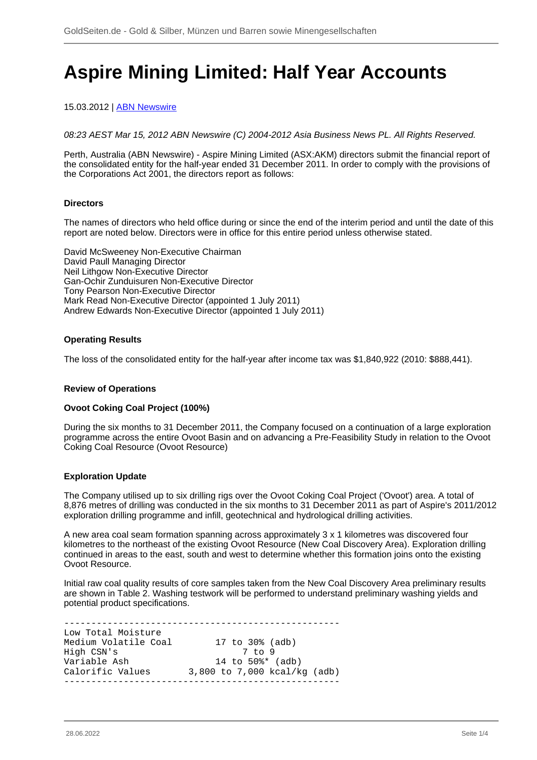# **Aspire Mining Limited: Half Year Accounts**

# 15.03.2012 | [ABN Newswire](/profil/222--ABN-Newswire)

08:23 AEST Mar 15, 2012 ABN Newswire (C) 2004-2012 Asia Business News PL. All Rights Reserved.

Perth, Australia (ABN Newswire) - Aspire Mining Limited (ASX:AKM) directors submit the financial report of the consolidated entity for the half-year ended 31 December 2011. In order to comply with the provisions of the Corporations Act 2001, the directors report as follows:

# **Directors**

The names of directors who held office during or since the end of the interim period and until the date of this report are noted below. Directors were in office for this entire period unless otherwise stated.

David McSweeney Non-Executive Chairman David Paull Managing Director Neil Lithgow Non-Executive Director Gan-Ochir Zunduisuren Non-Executive Director Tony Pearson Non-Executive Director Mark Read Non-Executive Director (appointed 1 July 2011) Andrew Edwards Non-Executive Director (appointed 1 July 2011)

# **Operating Results**

The loss of the consolidated entity for the half-year after income tax was \$1,840,922 (2010: \$888,441).

#### **Review of Operations**

#### **Ovoot Coking Coal Project (100%)**

During the six months to 31 December 2011, the Company focused on a continuation of a large exploration programme across the entire Ovoot Basin and on advancing a Pre-Feasibility Study in relation to the Ovoot Coking Coal Resource (Ovoot Resource)

#### **Exploration Update**

The Company utilised up to six drilling rigs over the Ovoot Coking Coal Project ('Ovoot') area. A total of 8,876 metres of drilling was conducted in the six months to 31 December 2011 as part of Aspire's 2011/2012 exploration drilling programme and infill, geotechnical and hydrological drilling activities.

A new area coal seam formation spanning across approximately 3 x 1 kilometres was discovered four kilometres to the northeast of the existing Ovoot Resource (New Coal Discovery Area). Exploration drilling continued in areas to the east, south and west to determine whether this formation joins onto the existing Ovoot Resource.

Initial raw coal quality results of core samples taken from the New Coal Discovery Area preliminary results are shown in Table 2. Washing testwork will be performed to understand preliminary washing yields and potential product specifications.

--------------------------------------------------- Low Total Moisture Medium Volatile Coal 17 to 30% (adb) High CSN's 7 to 9 Variable Ash 14 to 50%\* (adb) variable Ash that the set of the calorific Values 3,800 to 7,000 kcal/kg (adb) ---------------------------------------------------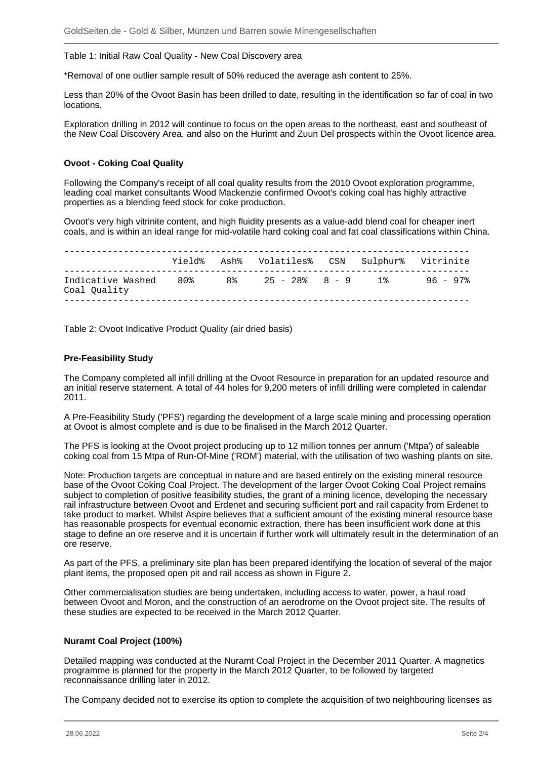Table 1: Initial Raw Coal Quality - New Coal Discovery area

\*Removal of one outlier sample result of 50% reduced the average ash content to 25%.

Less than 20% of the Ovoot Basin has been drilled to date, resulting in the identification so far of coal in two locations.

Exploration drilling in 2012 will continue to focus on the open areas to the northeast, east and southeast of the New Coal Discovery Area, and also on the Hurimt and Zuun Del prospects within the Ovoot licence area.

# **Ovoot - Coking Coal Quality**

Following the Company's receipt of all coal quality results from the 2010 Ovoot exploration programme, leading coal market consultants Wood Mackenzie confirmed Ovoot's coking coal has highly attractive properties as a blending feed stock for coke production.

Ovoot's very high vitrinite content, and high fluidity presents as a value-add blend coal for cheaper inert coals, and is within an ideal range for mid-volatile hard coking coal and fat coal classifications within China.

|                                       |  | Yield% Ash% Volatiles% CSN Sulphur% Vitrinite |  |  |
|---------------------------------------|--|-----------------------------------------------|--|--|
| Indicative Washed 80%<br>Coal Ouality |  | 8% 25 - 28% 8 - 9 1% 96 - 97%                 |  |  |

Table 2: Ovoot Indicative Product Quality (air dried basis)

#### **Pre-Feasibility Study**

The Company completed all infill drilling at the Ovoot Resource in preparation for an updated resource and an initial reserve statement. A total of 44 holes for 9,200 meters of infill drilling were completed in calendar 2011.

A Pre-Feasibility Study ('PFS') regarding the development of a large scale mining and processing operation at Ovoot is almost complete and is due to be finalised in the March 2012 Quarter.

The PFS is looking at the Ovoot project producing up to 12 million tonnes per annum ('Mtpa') of saleable coking coal from 15 Mtpa of Run-Of-Mine ('ROM') material, with the utilisation of two washing plants on site.

Note: Production targets are conceptual in nature and are based entirely on the existing mineral resource base of the Ovoot Coking Coal Project. The development of the larger Ovoot Coking Coal Project remains subject to completion of positive feasibility studies, the grant of a mining licence, developing the necessary rail infrastructure between Ovoot and Erdenet and securing sufficient port and rail capacity from Erdenet to take product to market. Whilst Aspire believes that a sufficient amount of the existing mineral resource base has reasonable prospects for eventual economic extraction, there has been insufficient work done at this stage to define an ore reserve and it is uncertain if further work will ultimately result in the determination of an ore reserve.

As part of the PFS, a preliminary site plan has been prepared identifying the location of several of the major plant items, the proposed open pit and rail access as shown in Figure 2.

Other commercialisation studies are being undertaken, including access to water, power, a haul road between Ovoot and Moron, and the construction of an aerodrome on the Ovoot project site. The results of these studies are expected to be received in the March 2012 Quarter.

# **Nuramt Coal Project (100%)**

Detailed mapping was conducted at the Nuramt Coal Project in the December 2011 Quarter. A magnetics programme is planned for the property in the March 2012 Quarter, to be followed by targeted reconnaissance drilling later in 2012.

The Company decided not to exercise its option to complete the acquisition of two neighbouring licenses as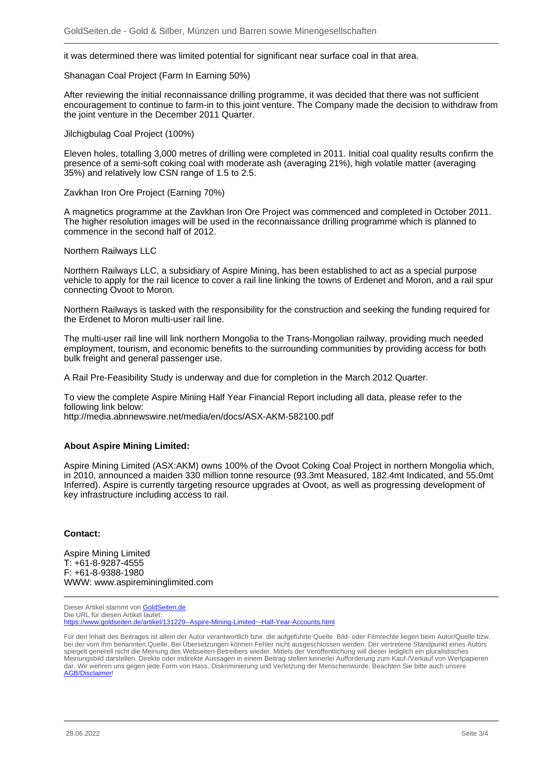it was determined there was limited potential for significant near surface coal in that area.

Shanagan Coal Project (Farm In Earning 50%)

After reviewing the initial reconnaissance drilling programme, it was decided that there was not sufficient encouragement to continue to farm-in to this joint venture. The Company made the decision to withdraw from the joint venture in the December 2011 Quarter.

Jilchigbulag Coal Project (100%)

Eleven holes, totalling 3,000 metres of drilling were completed in 2011. Initial coal quality results confirm the presence of a semi-soft coking coal with moderate ash (averaging 21%), high volatile matter (averaging 35%) and relatively low CSN range of 1.5 to 2.5.

Zavkhan Iron Ore Project (Earning 70%)

A magnetics programme at the Zavkhan Iron Ore Project was commenced and completed in October 2011. The higher resolution images will be used in the reconnaissance drilling programme which is planned to commence in the second half of 2012.

Northern Railways LLC

Northern Railways LLC, a subsidiary of Aspire Mining, has been established to act as a special purpose vehicle to apply for the rail licence to cover a rail line linking the towns of Erdenet and Moron, and a rail spur connecting Ovoot to Moron.

Northern Railways is tasked with the responsibility for the construction and seeking the funding required for the Erdenet to Moron multi-user rail line.

The multi-user rail line will link northern Mongolia to the Trans-Mongolian railway, providing much needed employment, tourism, and economic benefits to the surrounding communities by providing access for both bulk freight and general passenger use.

A Rail Pre-Feasibility Study is underway and due for completion in the March 2012 Quarter.

To view the complete Aspire Mining Half Year Financial Report including all data, please refer to the following link below:

http://media.abnnewswire.net/media/en/docs/ASX-AKM-582100.pdf

# **About Aspire Mining Limited:**

Aspire Mining Limited (ASX:AKM) owns 100% of the Ovoot Coking Coal Project in northern Mongolia which, in 2010, announced a maiden 330 million tonne resource (93.3mt Measured, 182.4mt Indicated, and 55.0mt Inferred). Aspire is currently targeting resource upgrades at Ovoot, as well as progressing development of key infrastructure including access to rail.

#### **Contact:**

Aspire Mining Limited T: +61-8-9287-4555 F: +61-8-9388-1980 WWW: www.aspiremininglimited.com

Dieser Artikel stammt von [GoldSeiten.de](https://www.goldseiten.de) Die URL für diesen Artikel lautet: <https://www.goldseiten.de/artikel/131229--Aspire-Mining-Limited~-Half-Year-Accounts.html>

Für den Inhalt des Beitrages ist allein der Autor verantwortlich bzw. die aufgeführte Quelle. Bild- oder Filmrechte liegen beim Autor/Quelle bzw. bei der vom ihm benannten Quelle. Bei Übersetzungen können Fehler nicht ausgeschlossen werden. Der vertretene Standpunkt eines Autors spiegelt generell nicht die Meinung des Webseiten-Betreibers wieder. Mittels der Veröffentlichung will dieser lediglich ein pluralistisches Meinungsbild darstellen. Direkte oder indirekte Aussagen in einem Beitrag stellen keinerlei Aufforderung zum Kauf-/Verkauf von Wertpapieren dar. Wir wehren uns gegen jede Form von Hass, Diskriminierung und Verletzung der Menschenwürde. Beachten Sie bitte auch unsere [AGB/Disclaimer!](/intern/agb.php)